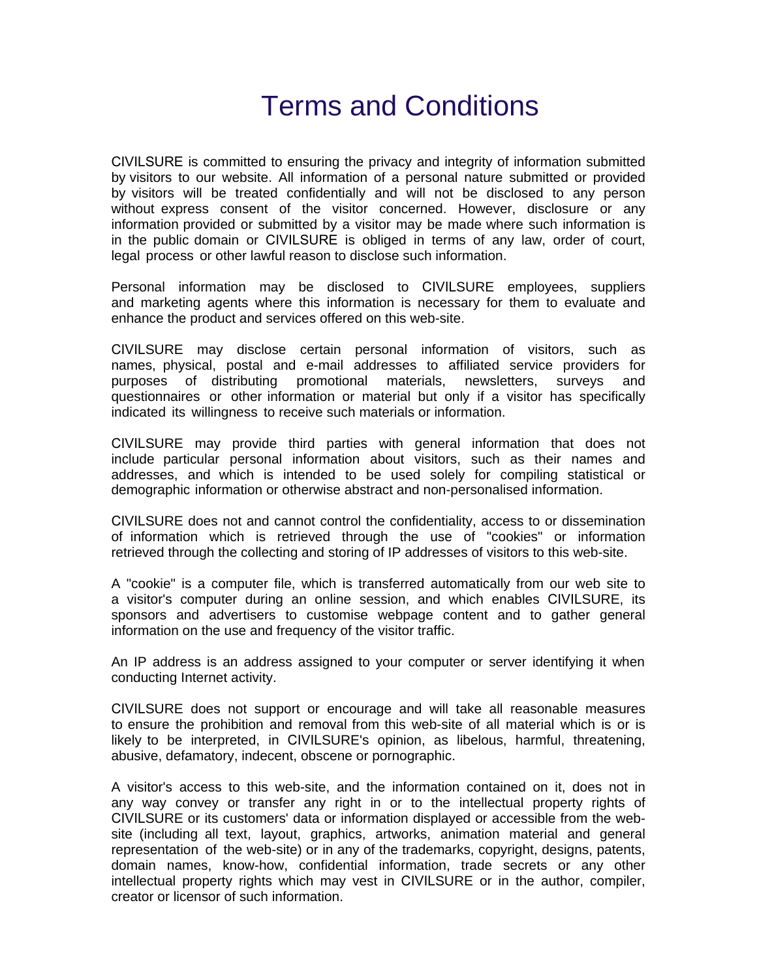## Terms and Conditions

CIVILSURE is committed to ensuring the privacy and integrity of information submitted by visitors to our website. All information of a personal nature submitted or provided by visitors will be treated confidentially and will not be disclosed to any person without express consent of the visitor concerned. However, disclosure or any information provided or submitted by a visitor may be made where such information is in the public domain or CIVILSURE is obliged in terms of any law, order of court, legal process or other lawful reason to disclose such information.

Personal information may be disclosed to CIVILSURE employees, suppliers and marketing agents where this information is necessary for them to evaluate and enhance the product and services offered on this web-site.

CIVILSURE may disclose certain personal information of visitors, such as names, physical, postal and e-mail addresses to affiliated service providers for purposes of distributing promotional materials, newsletters, surveys and questionnaires or other information or material but only if a visitor has specifically indicated its willingness to receive such materials or information.

CIVILSURE may provide third parties with general information that does not include particular personal information about visitors, such as their names and addresses, and which is intended to be used solely for compiling statistical or demographic information or otherwise abstract and non-personalised information.

CIVILSURE does not and cannot control the confidentiality, access to or dissemination of information which is retrieved through the use of "cookies" or information retrieved through the collecting and storing of IP addresses of visitors to this web-site.

A "cookie" is a computer file, which is transferred automatically from our web site to a visitor's computer during an online session, and which enables CIVILSURE, its sponsors and advertisers to customise webpage content and to gather general information on the use and frequency of the visitor traffic.

An IP address is an address assigned to your computer or server identifying it when conducting Internet activity.

CIVILSURE does not support or encourage and will take all reasonable measures to ensure the prohibition and removal from this web-site of all material which is or is likely to be interpreted, in CIVILSURE's opinion, as libelous, harmful, threatening, abusive, defamatory, indecent, obscene or pornographic.

A visitor's access to this web-site, and the information contained on it, does not in any way convey or transfer any right in or to the intellectual property rights of CIVILSURE or its customers' data or information displayed or accessible from the website (including all text, layout, graphics, artworks, animation material and general representation of the web-site) or in any of the trademarks, copyright, designs, patents, domain names, know-how, confidential information, trade secrets or any other intellectual property rights which may vest in CIVILSURE or in the author, compiler, creator or licensor of such information.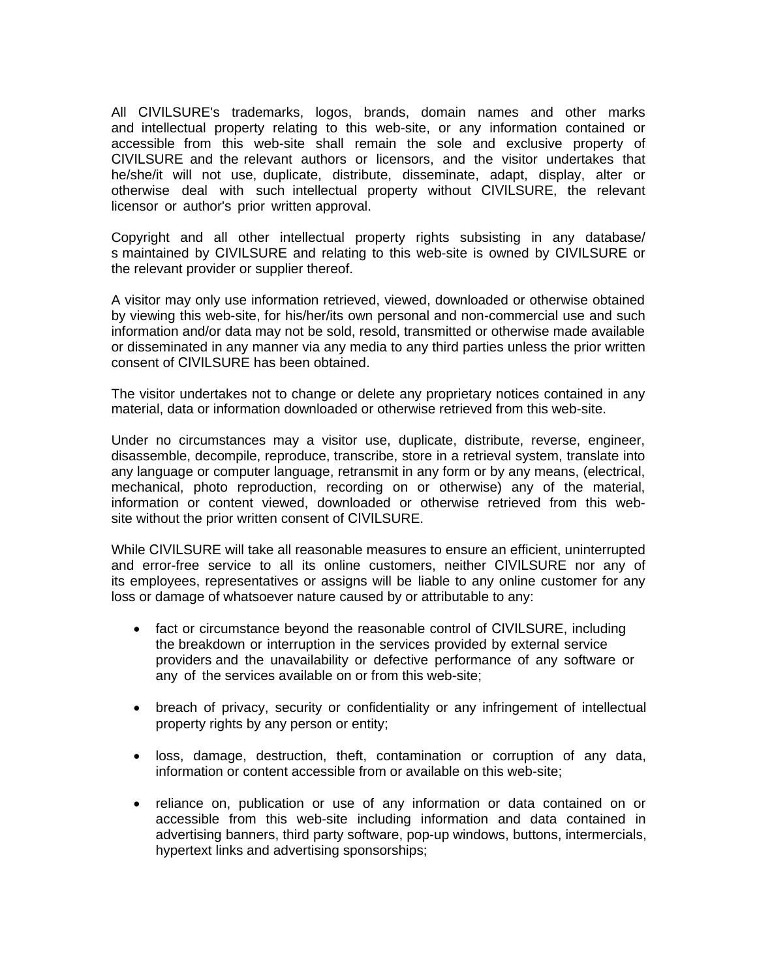All CIVILSURE's trademarks, logos, brands, domain names and other marks and intellectual property relating to this web-site, or any information contained or accessible from this web-site shall remain the sole and exclusive property of CIVILSURE and the relevant authors or licensors, and the visitor undertakes that he/she/it will not use, duplicate, distribute, disseminate, adapt, display, alter or otherwise deal with such intellectual property without CIVILSURE, the relevant licensor or author's prior written approval.

Copyright and all other intellectual property rights subsisting in any database/ s maintained by CIVILSURE and relating to this web-site is owned by CIVILSURE or the relevant provider or supplier thereof.

A visitor may only use information retrieved, viewed, downloaded or otherwise obtained by viewing this web-site, for his/her/its own personal and non-commercial use and such information and/or data may not be sold, resold, transmitted or otherwise made available or disseminated in any manner via any media to any third parties unless the prior written consent of CIVILSURE has been obtained.

The visitor undertakes not to change or delete any proprietary notices contained in any material, data or information downloaded or otherwise retrieved from this web-site.

Under no circumstances may a visitor use, duplicate, distribute, reverse, engineer, disassemble, decompile, reproduce, transcribe, store in a retrieval system, translate into any language or computer language, retransmit in any form or by any means, (electrical, mechanical, photo reproduction, recording on or otherwise) any of the material, information or content viewed, downloaded or otherwise retrieved from this website without the prior written consent of CIVILSURE.

While CIVILSURE will take all reasonable measures to ensure an efficient, uninterrupted and error-free service to all its online customers, neither CIVILSURE nor any of its employees, representatives or assigns will be liable to any online customer for any loss or damage of whatsoever nature caused by or attributable to any:

- fact or circumstance beyond the reasonable control of CIVILSURE, including the breakdown or interruption in the services provided by external service providers and the unavailability or defective performance of any software or any of the services available on or from this web-site;
- breach of privacy, security or confidentiality or any infringement of intellectual property rights by any person or entity;
- loss, damage, destruction, theft, contamination or corruption of any data, information or content accessible from or available on this web-site;
- reliance on, publication or use of any information or data contained on or accessible from this web-site including information and data contained in advertising banners, third party software, pop-up windows, buttons, intermercials, hypertext links and advertising sponsorships;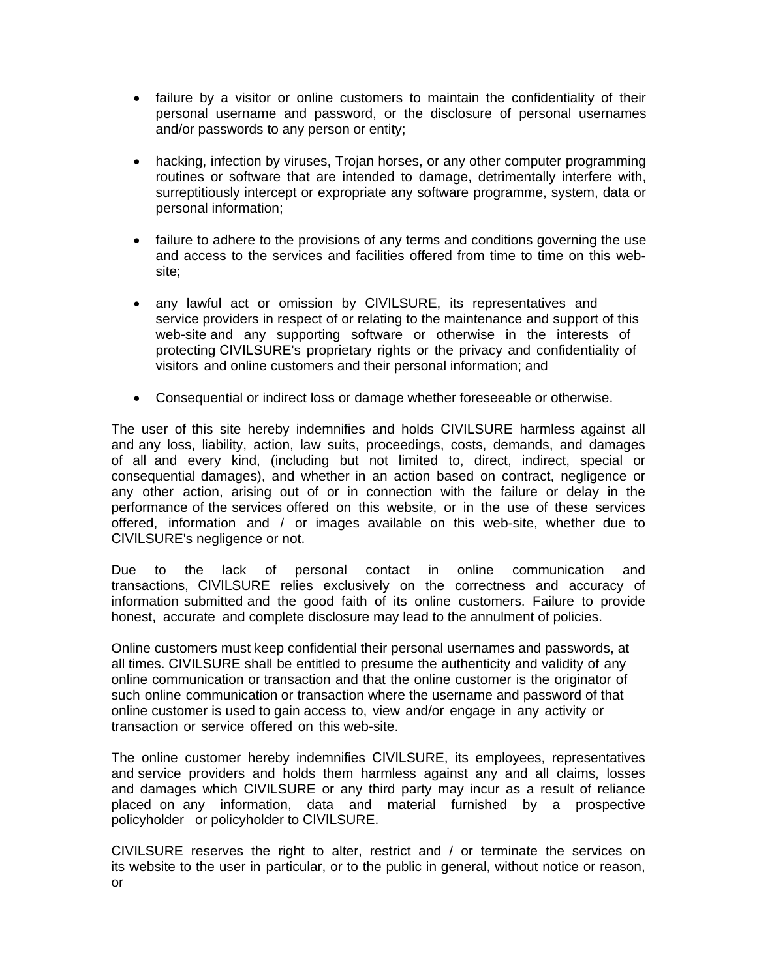- failure by a visitor or online customers to maintain the confidentiality of their personal username and password, or the disclosure of personal usernames and/or passwords to any person or entity;
- hacking, infection by viruses, Trojan horses, or any other computer programming routines or software that are intended to damage, detrimentally interfere with, surreptitiously intercept or expropriate any software programme, system, data or personal information;
- failure to adhere to the provisions of any terms and conditions governing the use and access to the services and facilities offered from time to time on this website;
- any lawful act or omission by CIVILSURE, its representatives and service providers in respect of or relating to the maintenance and support of this web-site and any supporting software or otherwise in the interests of protecting CIVILSURE's proprietary rights or the privacy and confidentiality of visitors and online customers and their personal information; and
- Consequential or indirect loss or damage whether foreseeable or otherwise.

The user of this site hereby indemnifies and holds CIVILSURE harmless against all and any loss, liability, action, law suits, proceedings, costs, demands, and damages of all and every kind, (including but not limited to, direct, indirect, special or consequential damages), and whether in an action based on contract, negligence or any other action, arising out of or in connection with the failure or delay in the performance of the services offered on this website, or in the use of these services offered, information and / or images available on this web-site, whether due to CIVILSURE's negligence or not.

Due to the lack of personal contact in online communication and transactions, CIVILSURE relies exclusively on the correctness and accuracy of information submitted and the good faith of its online customers. Failure to provide honest, accurate and complete disclosure may lead to the annulment of policies.

Online customers must keep confidential their personal usernames and passwords, at all times. CIVILSURE shall be entitled to presume the authenticity and validity of any online communication or transaction and that the online customer is the originator of such online communication or transaction where the username and password of that online customer is used to gain access to, view and/or engage in any activity or transaction or service offered on this web-site.

The online customer hereby indemnifies CIVILSURE, its employees, representatives and service providers and holds them harmless against any and all claims, losses and damages which CIVILSURE or any third party may incur as a result of reliance placed on any information, data and material furnished by a prospective policyholder or policyholder to CIVILSURE.

CIVILSURE reserves the right to alter, restrict and / or terminate the services on its website to the user in particular, or to the public in general, without notice or reason, or